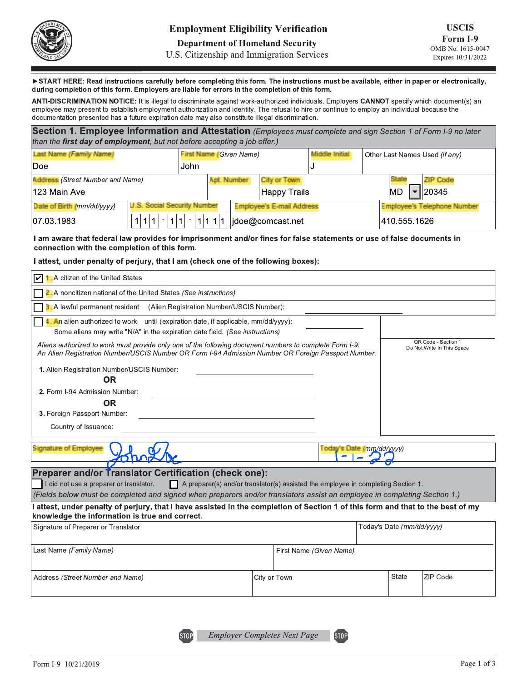U.S. Citizenship and Immigration Services

>START HERE: Read instructions carefully before completing this form. The instructions must be available, either in paper or electronically, during completion of this form. Employers are liable for errors in the completion of this form.

ANTI-DISCRIMINATION NOTICE: It is illegal to discriminate against work-authorized individuals. Employers CANNOT specify which document(s) an employee may present to establish employment authorization and identity. The refusal to hire or continue to employ an individual because the documentation presented has a future expiration date may also constitute illegal discrimination.

| Section 1. Employee Information and Attestation (Employees must complete and sign Section 1 of Form I-9 no later<br>than the first day of employment, but not before accepting a job offer.) |                                    |                                |             |                           |                |    |              |                                |
|----------------------------------------------------------------------------------------------------------------------------------------------------------------------------------------------|------------------------------------|--------------------------------|-------------|---------------------------|----------------|----|--------------|--------------------------------|
| Last Name (Family Name)                                                                                                                                                                      |                                    | <b>First Name (Given Name)</b> |             |                           | Middle Initial |    |              | Other Last Names Used (if any) |
| Doe                                                                                                                                                                                          |                                    | John                           |             |                           |                |    |              |                                |
| <b>Address</b> (Street Number and Name)                                                                                                                                                      |                                    |                                | Apt. Number | City or Town              |                |    | State        | <b>ZIP Code</b>                |
| 123 Main Ave                                                                                                                                                                                 |                                    |                                |             | Happy Trails              |                | MD |              | 20345                          |
| <b>Date of Birth (mm/dd/yyyy)</b>                                                                                                                                                            | <b>U.S. Social Security Number</b> |                                |             | Employee's E-mail Address |                |    |              | Employee's Telephone Number    |
| 07.03.1983                                                                                                                                                                                   | 1<br>$\sim$                        |                                | 1 1 1 1     | idoe@comcast.net          |                |    | 410.555.1626 |                                |

I am aware that federal law provides for imprisonment and/or fines for false statements or use of false documents in connection with the completion of this form.

#### I attest, under penalty of perjury, that I am (check one of the following boxes):

| <b>1.</b> A citizen of the United States<br>V                                                                                                                                                                                 |                                                                                          |                           |                                                   |
|-------------------------------------------------------------------------------------------------------------------------------------------------------------------------------------------------------------------------------|------------------------------------------------------------------------------------------|---------------------------|---------------------------------------------------|
| 2. A noncitizen national of the United States (See instructions)                                                                                                                                                              |                                                                                          |                           |                                                   |
| 1. A lawful permanent resident (Alien Registration Number/USCIS Number):                                                                                                                                                      |                                                                                          |                           |                                                   |
| <b>4. An alien authorized to work</b> until (expiration date, if applicable, mm/dd/yyyy):<br>Some aliens may write "N/A" in the expiration date field. (See instructions)                                                     |                                                                                          |                           |                                                   |
| Aliens authorized to work must provide only one of the following document numbers to complete Form I-9:<br>An Alien Registration Number/USCIS Number OR Form I-94 Admission Number OR Foreign Passport Number.                |                                                                                          |                           | QR Code - Section 1<br>Do Not Write In This Space |
| 1. Alien Registration Number/USCIS Number:<br><b>OR</b>                                                                                                                                                                       |                                                                                          |                           |                                                   |
| 2. Form I-94 Admission Number:<br><b>OR</b>                                                                                                                                                                                   |                                                                                          |                           |                                                   |
| 3. Foreign Passport Number:                                                                                                                                                                                                   |                                                                                          |                           |                                                   |
| Country of Issuance:                                                                                                                                                                                                          |                                                                                          |                           |                                                   |
| <b>Signature of Employee</b>                                                                                                                                                                                                  | Today's Date (mm/dd/yyyy)                                                                |                           |                                                   |
| Preparer and/or Translator Certification (check one):<br>I did not use a preparer or translator.<br>(Fields below must be completed and signed when preparers and/or translators assist an employee in completing Section 1.) | $\Box$ A preparer(s) and/or translator(s) assisted the employee in completing Section 1. |                           |                                                   |
| I attest, under penalty of perjury, that I have assisted in the completion of Section 1 of this form and that to the best of my<br>knowledge the information is true and correct.                                             |                                                                                          |                           |                                                   |
| Signature of Preparer or Translator                                                                                                                                                                                           |                                                                                          | Today's Date (mm/dd/yyyy) |                                                   |
| Last Name (Family Name)                                                                                                                                                                                                       | First Name (Given Name)                                                                  |                           |                                                   |
| Address (Street Number and Name)                                                                                                                                                                                              | City or Town                                                                             | State                     | ZIP Code                                          |

ST<sub>OP</sub>

**STOP**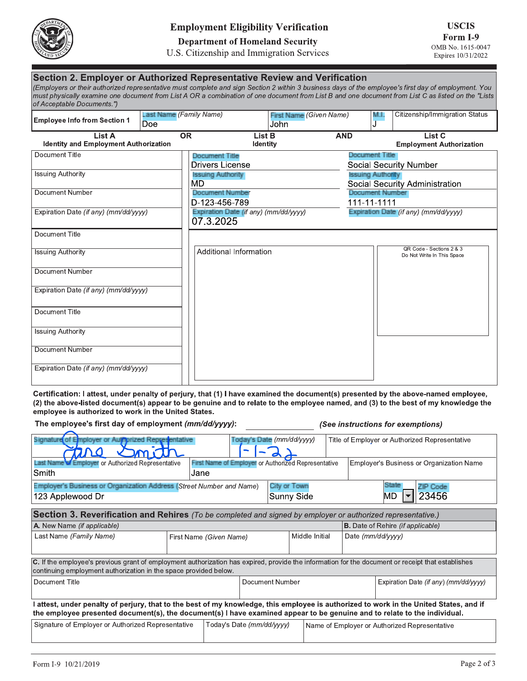

### **Employment Eligibility Verification**

## **Department of Homeland Security**

#### U.S. Citizenship and Immigration Services

| <b>Employee Info from Section 1</b>                    | Last Name (Family Name)<br>Doe |                                                    | <b>First Name</b> (Given Name)<br>John |                                       | MJ | Citizenship/Immigration Status                         |
|--------------------------------------------------------|--------------------------------|----------------------------------------------------|----------------------------------------|---------------------------------------|----|--------------------------------------------------------|
| List A<br><b>Identity and Employment Authorization</b> | OR                             | List B<br>Identity                                 |                                        | <b>AND</b>                            |    | List <sub>C</sub><br><b>Employment Authorization</b>   |
| Document Title                                         |                                | <b>Document Title</b><br><b>Drivers License</b>    |                                        | <b>Document Title</b>                 |    | <b>Social Security Number</b>                          |
| <b>Issuing Authority</b>                               |                                | <b>Issuing Authority</b><br>MD                     |                                        | <b>Issuing Authority</b>              |    | Social Security Administration                         |
| Document Number                                        |                                | <b>Document Number</b><br>D-123-456-789            |                                        | <b>Document Number</b><br>111-11-1111 |    |                                                        |
| Expiration Date (if any) (mm/dd/vvvv)                  |                                | Expiration Date (if any) (mm/dd/yyyy)<br>07.3.2025 |                                        |                                       |    | Expiration Date (if any) (mm/dd/yyyy)                  |
| Document Title                                         |                                |                                                    |                                        |                                       |    |                                                        |
| <b>Issuing Authority</b>                               |                                | Additional Information                             |                                        |                                       |    | QR Code - Sections 2 & 3<br>Do Not Write In This Space |
| Document Number                                        |                                |                                                    |                                        |                                       |    |                                                        |
| Expiration Date (if any) (mm/dd/yyyy)                  |                                |                                                    |                                        |                                       |    |                                                        |
| Document Title                                         |                                |                                                    |                                        |                                       |    |                                                        |
| <b>Issuing Authority</b>                               |                                |                                                    |                                        |                                       |    |                                                        |
| Document Number                                        |                                |                                                    |                                        |                                       |    |                                                        |
| Expiration Date (if any) (mm/dd/yyyy)                  |                                |                                                    |                                        |                                       |    |                                                        |

Certification: I attest, under penalty of perjury, that (1) I have examined the document(s) presented by the above-named employee, (2) the above-listed document(s) appear to be genuine and to relate to the employee named, and (3) to the best of my knowledge the employee is authorized to work in the United States.

The employee's first day of employment (mm/dd/yyyy):

(See instructions for exemptions)

| Signature of Employer or Aughprized Representative                                                                                                                                                                    |                         |                                                            | Today's Date (mm/dd/yyyy) |                   | Title of Employer or Authorized Representative                                                                                       |
|-----------------------------------------------------------------------------------------------------------------------------------------------------------------------------------------------------------------------|-------------------------|------------------------------------------------------------|---------------------------|-------------------|--------------------------------------------------------------------------------------------------------------------------------------|
| <b>Last Name of Employer or Authorized Representative</b>                                                                                                                                                             |                         | <b>First Name of Employer or Authorized Representative</b> |                           |                   | Employer's Business or Organization Name                                                                                             |
| Smith                                                                                                                                                                                                                 | Jane                    |                                                            |                           |                   |                                                                                                                                      |
| Employer's Business or Organization Address (Street Number and Name)                                                                                                                                                  |                         |                                                            | City or Town              |                   | State<br><b>ZIP Code</b>                                                                                                             |
| 123 Applewood Dr                                                                                                                                                                                                      |                         |                                                            |                           | <b>Sunny Side</b> | :3456<br>MD                                                                                                                          |
| <b>Section 3. Reverification and Rehires</b> (To be completed and signed by employer or authorized representative.)                                                                                                   |                         |                                                            |                           |                   |                                                                                                                                      |
| A. New Name (if applicable)                                                                                                                                                                                           |                         |                                                            |                           |                   | <b>B.</b> Date of Rehire (if applicable)                                                                                             |
| Last Name (Family Name)                                                                                                                                                                                               | First Name (Given Name) |                                                            |                           | Middle Initial    | Date (mm/dd/yyyy)                                                                                                                    |
| C. If the employee's previous grant of employment authorization has expired, provide the information for the document or receipt that establishes<br>continuing employment authorization in the space provided below. |                         |                                                            |                           |                   |                                                                                                                                      |
| Document Title                                                                                                                                                                                                        |                         |                                                            | Document Number           |                   | Expiration Date (if any) (mm/dd/yyyy)                                                                                                |
| the employee presented document(s), the document(s) I have examined appear to be genuine and to relate to the individual.                                                                                             |                         |                                                            |                           |                   | attest, under penalty of perjury, that to the best of my knowledge, this employee is authorized to work in the United States, and if |
| Signature of Employer or Authorized Representative                                                                                                                                                                    |                         | Today's Date (mm/dd/yyyy)                                  |                           |                   | Name of Employer or Authorized Representative                                                                                        |